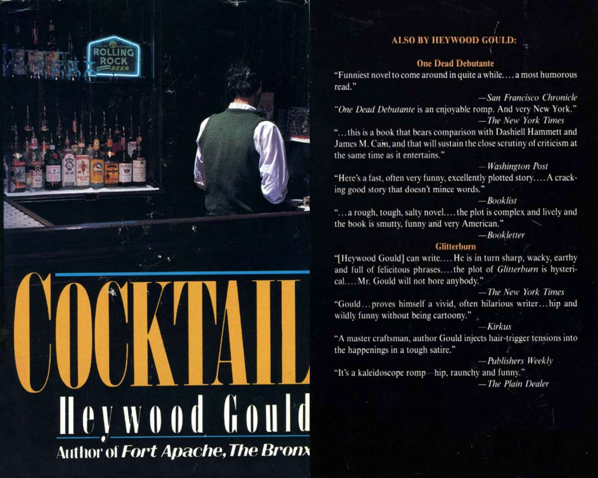# **ALSO BY HEYWOOD GOULD:**

#### **One Dead Debutante**

"Funniest novel to come around in quite a while.... a most humorous read."

-San Francisco Chronicle

"One Dead Debutante is an enjoyable romp. And very New York." -The New York Times

"...this is a book that bears comparison with Dashiell Hammett and James M. Cam, and that will sustain the close scrutiny of criticism at the same time as it entertains."

#### -Washington Post

"Here's a fast, often very funny, excellently plotted story.... A cracking good story that doesn't mince words."

#### $-$ Booklist

"... a rough, tough, salty novel... the plot is complex and lively and the book is smutty, funny and very American."

-Bookletter

#### Glitterburn

"[Heywood Gould] can write.... He is in turn sharp, wacky, earthy and full of felicitous phrases....the plot of Glitterburn is hysterical....Mr. Gould will not bore anybody."

-The New York Times

"Gould...proves himself a vivid, often hilarious writer...hip and wildly funny without being cartoony."

#### Kirkus

"A master craftsman, author Gould injects hair-trigger tensions into the happenings in a tough satire."

-Publishers Weekly

"It's a kaleidoscope romp—hip, raunchy and funny." -The Plain Dealer

<u>Heywood Gould</u>

**Author of Fort Apache, The Bronx**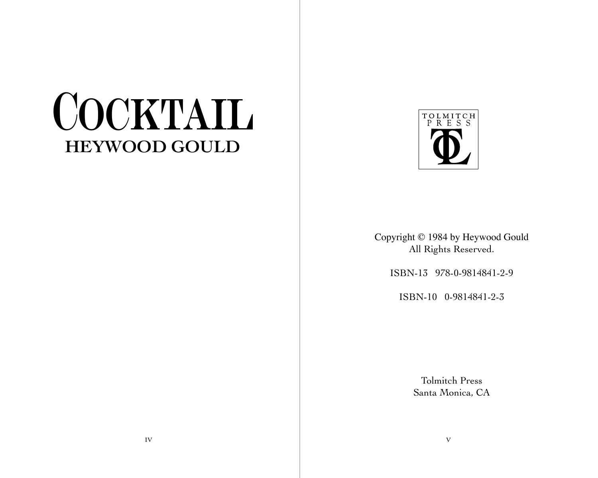# COCKTAIL **HEYWOOD GOULD**



Copyright © 1984 by Heywood Gould All Rights Reserved.

ISBN-13 978-0-9814841-2-9

ISBN-10 0-9814841-2-3

Tolmitch Press Santa Monica, CA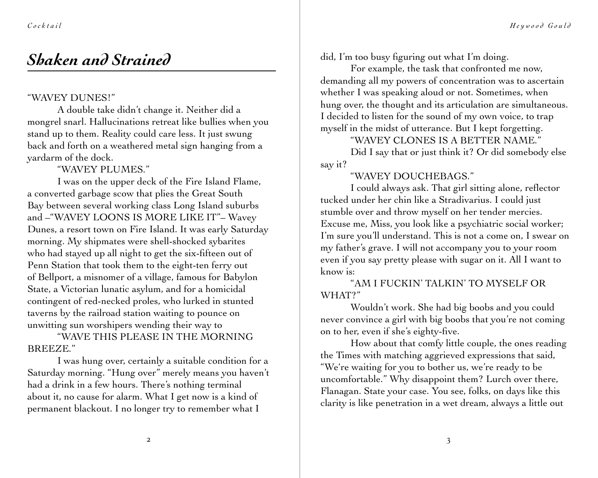# *Shaken and Strained*

#### "WAVEY DUNES!"

A double take didn't change it. Neither did a mongrel snarl. Hallucinations retreat like bullies when you stand up to them. Reality could care less. It just swung back and forth on a weathered metal sign hanging from a yardarm of the dock.

#### "WAVEY PLUMES."

I was on the upper deck of the Fire Island Flame, a converted garbage scow that plies the Great South Bay between several working class Long Island suburbs and –"WAVEY LOONS IS MORE LIKE IT"– Wavey Dunes, a resort town on Fire Island. It was early Saturday morning. My shipmates were shell-shocked sybarites who had stayed up all night to get the six-fifteen out of Penn Station that took them to the eight-ten ferry out of Bellport, a misnomer of a village, famous for Babylon State, a Victorian lunatic asylum, and for a homicidal contingent of red-necked proles, who lurked in stunted taverns by the railroad station waiting to pounce on unwitting sun worshipers wending their way to

# "WAVE THIS PLEASE IN THE MORNING BREEZE."

I was hung over, certainly a suitable condition for a Saturday morning. "Hung over" merely means you haven't had a drink in a few hours. There's nothing terminal about it, no cause for alarm. What I get now is a kind of permanent blackout. I no longer try to remember what I

did, I'm too busy figuring out what I'm doing.

For example, the task that confronted me now, demanding all my powers of concentration was to ascertain whether I was speaking aloud or not. Sometimes, when hung over, the thought and its articulation are simultaneous. I decided to listen for the sound of my own voice, to trap myself in the midst of utterance. But I kept forgetting.

#### "WAVEY CLONES IS A BETTER NAME."

Did I say that or just think it? Or did somebody else say it?

### "WAVEY DOUCHEBAGS."

I could always ask. That girl sitting alone, reflector tucked under her chin like a Stradivarius. I could just stumble over and throw myself on her tender mercies. Excuse me, Miss, you look like a psychiatric social worker; I'm sure you'll understand. This is not a come on, I swear on my father's grave. I will not accompany you to your room even if you say pretty please with sugar on it. All I want to know is:

"AM I FUCKIN' TALKIN' TO MYSELF OR WHAT?"

Wouldn't work. She had big boobs and you could never convince a girl with big boobs that you're not coming on to her, even if she's eighty-five.

How about that comfy little couple, the ones reading the Times with matching aggrieved expressions that said, "We're waiting for you to bother us, we're ready to be uncomfortable." Why disappoint them? Lurch over there, Flanagan. State your case. You see, folks, on days like this clarity is like penetration in a wet dream, always a little out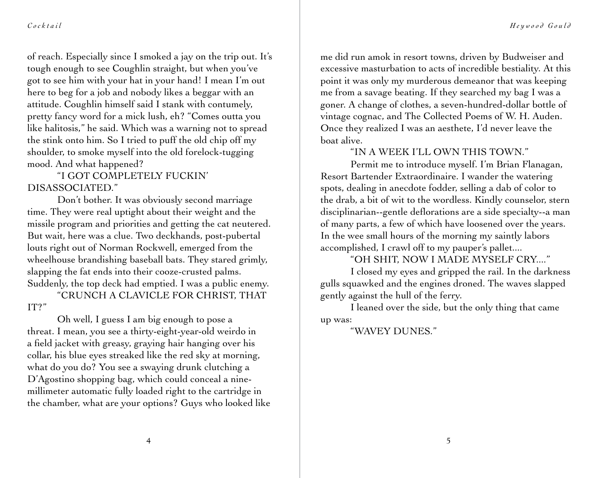of reach. Especially since I smoked a jay on the trip out. It's tough enough to see Coughlin straight, but when you've got to see him with your hat in your hand! I mean I'm out here to beg for a job and nobody likes a beggar with an attitude. Coughlin himself said I stank with contumely, pretty fancy word for a mick lush, eh? "Comes outta you like halitosis," he said. Which was a warning not to spread the stink onto him. So I tried to puff the old chip off my shoulder, to smoke myself into the old forelock-tugging mood. And what happened?

#### "I GOT COMPLETELY FUCKIN' DISASSOCIATED."

Don't bother. It was obviously second marriage time. They were real uptight about their weight and the missile program and priorities and getting the cat neutered. But wait, here was a clue. Two deckhands, post-pubertal louts right out of Norman Rockwell, emerged from the wheelhouse brandishing baseball bats. They stared grimly, slapping the fat ends into their cooze-crusted palms. Suddenly, the top deck had emptied. I was a public enemy.

"CRUNCH A CLAVICLE FOR CHRIST, THAT IT?"

Oh well, I guess I am big enough to pose a threat. I mean, you see a thirty-eight-year-old weirdo in a field jacket with greasy, graying hair hanging over his collar, his blue eyes streaked like the red sky at morning, what do you do? You see a swaying drunk clutching a D'Agostino shopping bag, which could conceal a ninemillimeter automatic fully loaded right to the cartridge in the chamber, what are your options? Guys who looked like me did run amok in resort towns, driven by Budweiser and excessive masturbation to acts of incredible bestiality. At this point it was only my murderous demeanor that was keeping me from a savage beating. If they searched my bag I was a goner. A change of clothes, a seven-hundred-dollar bottle of vintage cognac, and The Collected Poems of W. H. Auden. Once they realized I was an aesthete, I'd never leave the boat alive.

# "IN A WEEK I'LL OWN THIS TOWN."

Permit me to introduce myself. I'm Brian Flanagan, Resort Bartender Extraordinaire. I wander the watering spots, dealing in anecdote fodder, selling a dab of color to the drab, a bit of wit to the wordless. Kindly counselor, stern disciplinarian--gentle deflorations are a side specialty--a man of many parts, a few of which have loosened over the years. In the wee small hours of the morning my saintly labors accomplished, I crawl off to my pauper's pallet....

# "OH SHIT, NOW I MADE MYSELF CRY...."

I closed my eyes and gripped the rail. In the darkness gulls squawked and the engines droned. The waves slapped gently against the hull of the ferry.

I leaned over the side, but the only thing that came up was:

"WAVEY DUNES."